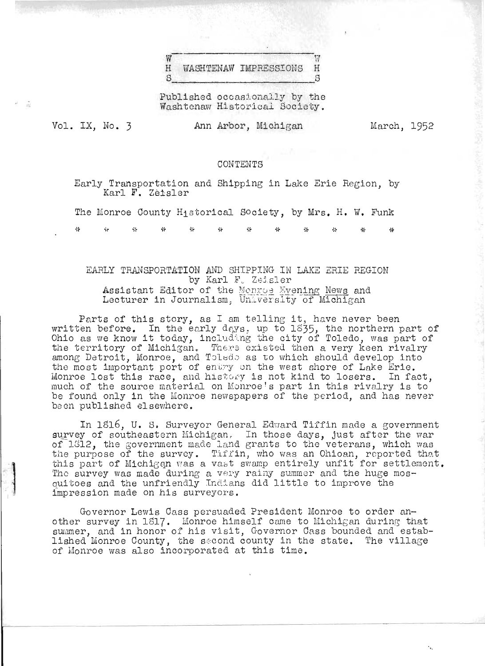#### W Ŵ  $H$ **WASHTENAW IMPRESSIONS** H S S

Published occasionally by the Washtenaw Historical Society.

Vol. IX. No. 3

- Si

Ann Arbor, Michigan

March, 1952

#### CONTENTS

Early Transportation and Shipping in Lake Erie Region, by Karl F. Zeisler

The Monroe County Historical Society, by Mrs. H. W. Funk

έś, A4  $\Delta \mathcal{L}_\text{e}$ A) عاط لحطة

# EARLY TRANSPORTATION AND SHIPPING IN LAKE ERIE REGION by Karl F. Zeisler Assistant Editor of the Monroe Hyening News and Lecturer in Journalism, University of Michigan

Parts of this story, as I am telling it, have never been<br>written before. In the early days, up to 1835, the northern part of<br>Ohio as we know it today, including the city of Toledo, was part of the territory of Michigan. There existed then a very keen rivalry among Detroit, Monroe, and Toledo as to which should develop into the most important port of entry on the west shore of Lake Erie. Monroe lost this race, and history is not kind to losers. In fact, much of the source material on Monroe's part in this rivalry is to be found only in the Monroe newspapers of the period, and has never been published elsewhere.

In 1816, U. S. Surveyor General Edward Tiffin made a government survey of southeastern Michigan. In those days, just after the war of 1312, the government made land grants to the veterans, which was the purpose of the survey. Tiffin, who was an Ohioan, reported that this part of Michigan was a vast swamp entirely unfit for settlement. The survey was made during a very rainy summer and the huge mosquitoes and the unfriendly Indians did little to improve the impression made on his surveyors.

Governor Lewis Cass persuaded President Monroe to order another survey in 1817. Monroe himself came to Michigan during that summer, and in honor of his visit, Governor Cass bounded and established Monroe County, the second county in the state. The village of Monroe was also incorporated at this time.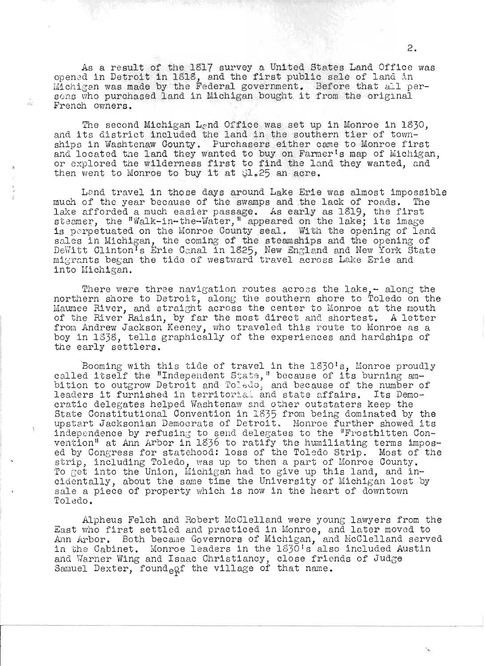As a result of the 1817 survey a United States Land Office was opened in Detroit in 1818, and the first public sale of land in Michigan was made by the Federal government. Before that all persons who purchased land in Michigan bought it from the original French ovmers.

 $\pm 0.7$ 

The second Michigan Land Office was set up in Monroe in 1830, and its district included the land in the southern tier of townships in Washtenaw County. Purchasers either came to Monroe first and located the land they wanted to buy on Farmer's map of Michigan, or explored the wilderness first to find the land they wanted, and then went to Monroe to buy it at  $21.25$  an acre.

Land travel in those days around Lake Erie was almost impossible much of the year because of the swamps and the lack of roads. nuch of the year because of the swamps and the fack of roads. The<br>lake afforded a much easier passage. As early as 1819, the first iake arrorded a much easier passage. As early as loly, the first<br>steamer, the "Walk-in-the-Water," appeared on the lake; its image is perpetuated on the Monroe County seal. With the opening of land se, perpetuated on the monitor county sour. While the opening of fand sales in Michigan, the coming of the steamships and the opening of<br>DeWitt Clinton's Erie Canal in 1825, New England and New York State migrants began the tide of westward travel across Lake Erie and into Michigan.

There were three navigation routes across the lake, $-$  along the northern shore to Detroit, along the southern shore to Toledo on the Maumee River, and straight across the center to Monroe at the mouth of the River Raisin, by far the most direct and shortest. A letter from Andrew Jackson Keeney, who traveled this route to Monroe as a irom Andrew Jackson Reeney, who travared this route to monroe as a<br>boy in 1838, tells graphically of the experiences and hardships of the early settlers.

Booming with this tide of travel in the 1830's, Monroe proudly coming with this tide of travel in the isolo"s, monroe proud.<br>-ealled itself the "Independent State," because of its burning ambition to outgrow Detroit and Toledo, and because of the number of pition to outgrow Detroit and Toledo, and because of the number o<br>leaders it furnished in territorial and state affairs. Its Democratic delegates helped Washtenaw and state attains. It's bemo<br>cratic delegates helped Washtenaw and other outstaters keep the State Oonstitutional Oonvention in 18535 from being dominated by the upstart Jacksonian Democrats of Detroit. Monroe further showed its independence by refusing to send delegates to the "Frostbitten Conindependence by refusing to send deregates to the rrostnitten con-<br>vention<sup>11</sup> at Ann Arbor in 1836 to ratify the humiliating terms imposed by Congress for statehood: loss of the Toledo Strip. Most of the strip, including Toledo, was up to then a part of Monroe County. To get into the Union, Michigan had to give up this land, and incidentally, about the same time the University of Michigan lost by sale a piece of property which is now in the heart of downtown Toledo.

Alpheus Felch and Robert McClelland were young lawyers from the East who first settled and practiced in Monroe, and later moved to Ann Arbor. Both became Governors of Michigan, and McClelland served in the Cabinet. Monroe leaders in the 1830's also included Austin and Warner Wing and Isaac Christiancy, close friends of Judge Samuel Dexter, found  $_{\rm eqf}$  the village of that name.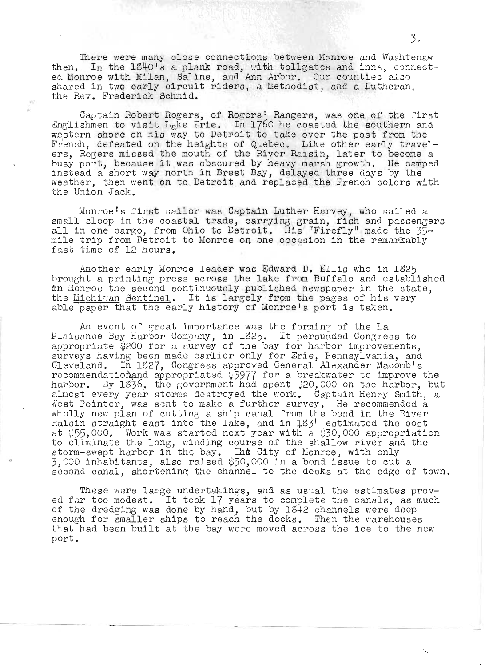There were many close connections between Monroe and Washtenaw then. In the 1840's a plank road, with tollgates and inns, connect-ed Monroe with Milan, Saline, and Ann Arbor. Our counties also shared in two early circuit riders, a Methodist, and a Lutheran, the Rev. Frederick Schmid.

 $\tilde{\Omega}^{(1)}_T$ 

Captain Robert Rogers, of Rogers' Rangers, was one of the first Englishmen to visit Lake Erie. In 1760 he coasted the southern and western shore on his way to Detroit to take over the post from the French, defeated on the heights of Quebec. Like other early travelers, Rogers missed the mouth of the River Raisin, later to become a busy port, because it was obscured by heavy marsh growth. He camped instead a short way north in Brest Bay, delayed three days by the weather, then went on to Detroit and replaced the French colors with the Union Jack.

Monroe's first sailor was Captain Luther Harvey, who sailed a small sloop in the coastal trade, carrying grain, fish and passengers all in one cargo, from Ohio to Detroit. His "Firefly" made the 35mile trip from Detroit to Monroe on one occasion in the remarkably fast time of 12 hours.

Another early Monroe leader was Edward D. Ellis who in 1825 brought a printing press across the lake from Buffalo and established in Honroe the second continuously published newspaper in the state. the Michigan Sentinel. It is largely from the pages of his very able paper that the early history of Monroe's port is taken.

An event of great importance was the forming of the La Plaisance Bay Harbor Company, in 1825. It persuaded Congress to appropriate \$200 for a survey of the bay for harbor improvements,<br>surveys having been made earlier only for Erie, Pennsylvania, and<br>Cleveland. In 1827, Congress approved General Alexander Macomb's recommendation and appropriated  $35977$  for a breakwater to improve the harbor. By 1836, the government had spent  $320,000$  on the harbor, but almost every year storms destroyed the work. Captain Henry Smith, a West Pointer, was sent to make a further survey. He recommended a wholly new plan of cutting a ship canal from the bend in the River Raisin straight east into the lake, and in 1834 estimated the cost at  $$55,000$ . Work was started next year with a  $$30,000$  appropriation to eliminate the long, winding course of the shallow river and the storm-swept harbor in the bay. The City of Monroe, with only 3,000 inhabitants, also raised \$50,000 in a bond issue to cut a second canal, shortening the channel to the docks at the edge of town.

These were large undertakings, and as usual the estimates proved far too modest. It took 17 years to complete the canals, as much of the dredging was done by hand, but by 1842 channels were deep<br>enough for smaller ships to reach the docks. Then the warehouses that had been built at the bay were moved across the ice to the new port.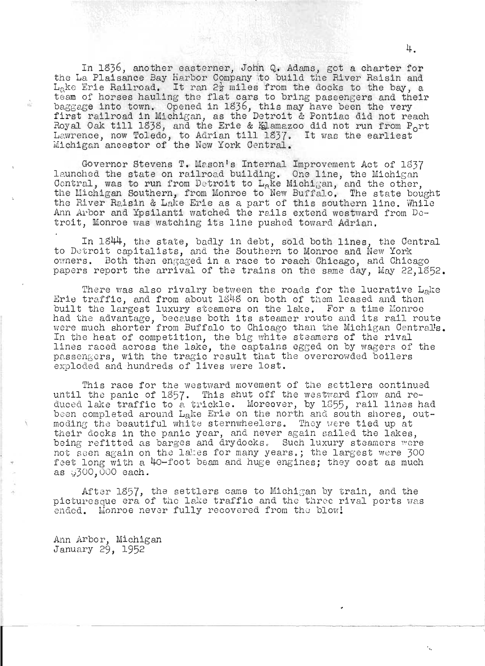In 1836, another easterner, John Q. Adams, got a charter for the La Plaisance Bay Harbor Company to build the River Raisin and  $L_4$ ke Erie Railroad. It ran 2 $\frac{1}{2}$  miles from the docks to the bay, a team of horses hauling the flat cars to bring passengers and their baggage into town. Opened in 1836, this may have been the very baggage into town. Opened in 1990, this may have been the very Royal Oak till 1838, and the Erie & Kalamazoo did not run from P<sub>o</sub>rt Royal Cak till 1898, and the Erie & Elamazoo did not run Irom P.<br>Lawrence, now Toledo, to Adrian till 1837. It was the earliest Michigan ancestor of the New York Central.

Governor Stevens T. Mason's Internal Improvement Act of 1837 launched the state on railroad building. One line, the Michigan Central, was to run from Detroit to L<sub>a</sub>ke Michigan, and the other, the Michigan Southern, from Monroe to New Buffalo. The state bought the River Raisin & Lake Erie as a part of this southern line. While Ann Arbor and Ypsilanti watched the rails extend westward from Detroit, Monroe was watching its line pushed toward Adrian,

In 1844, the state, badly in debt, sold both lines, the Central to Detroit capitalists, and the Southern to Monroe and New York owners. Both then engaged in a race to reach Chicago, and Chicago papers report the arrival of the trains on the same day, May 22,1852.

There was also rivalry between the roads for the lucrative Lake Erie traffic, and from about  $1848$  on both of them leased and then built the largest luxury steamers on the lake. For a time Monroe built the largest luxury steamers on the lake. For a time monroe<br>had the advantage, because both its steamer route and its rail route were much shorter from Buffalo to Chicago than the Michigan Central's. In the heat of competition, the big white steamers of the rival In the heat of composition, the sig white steamers of the lines raced across the lake, the captains egged on by wagers of the passengers, with the tragic result that the overcrowded boilers exploded and hundreds of lives were lost.

This race for the westward movement of the settlers continued until the panic of 1357. This shut off the westward flow and reduced lake traffic to a trickle. Moreover, by  $1855$ , rail lines had been completed around Lake Erie on the north and south shores, outmoding the beautiful white sternwheelers. They were tied up at their docks in the panic year, and never again sailed the lakes, being refitted as barges and drydocks. Such luxury steamers were not seen again on the lakes for many years.; the largest were 300 feet long with a 40-foot beam and huge engines; they cost as much  $as$   $\sqrt{300}$ , 000 each.

After 1857, the settlers came to Michigan by train, and the picturesque era of the lake traffic and the three rival ports was ended. Monroe never fully recovered from the blow!

Ann Arbor, Michigan January 29, 1952

ŵ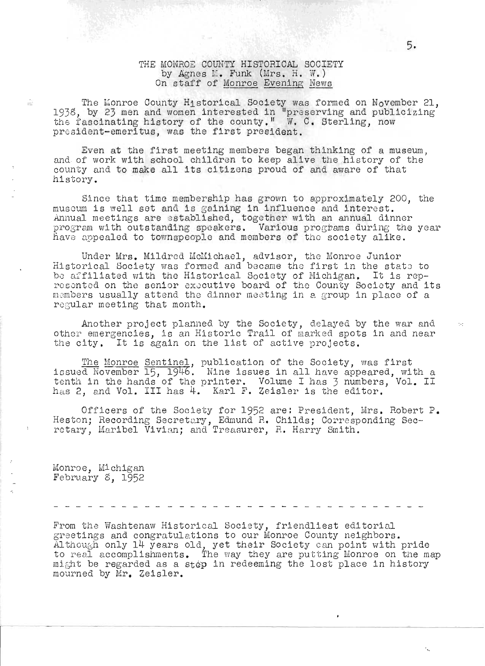# THE MONROE COUNTY HISTORICAL SOCIETY by Agnes M. Funk (Mrs. H. W.) On staff of Monroe Evening News

The Monroe County Historical Society was formed on November 21, 1938, by 23 men and women interested in "preserving and publicizing" the fascinating history of the county." W. C. Sterling, now president-emeritus, was the first president.

Even at the first meeting members began thinking of a museum, and of work with school children to keep alive the history of the county and to make all its citizens proud of and aware of that history.

Since that time membership has grown to approximately 200, the Since that time membership has grown to approximately 20<br>museum is well set and is gaining in influence and interest. .Annual meetings are '3stablished, toge ther with an annual dinner program with outstanding speakers. Various programs during the year have appealed to townspeople and members of the society alike.

Under Mrs. Mildred McMichael, advisor, the Monroe Junior binder mrs. mildred momiciael, advisor, the monroe bunior<br>Historical Society was formed and became the first in the state to instorical bociety was formed and became the first in the state to<br>be affiliated with the Historical Society of Michigan. It is represonted on the senior executive board of the County Society and its -:! members usually attend the dinner meeting in a group in place of a regular meeting that month.

Another project planned by the Society, delayed by the war and another project prained by the Boorcoy, derayed by the war and<br>other emergencies, is an Historic Trail of marked spots in and near the city. It is again on the list of active projects.

The Monroe Sentinel, publication of the Society, was first issued November 15, 1946. Nine issues in all have appeared, with a tssued november 19, 1940. Wine issues in all have appeared, with a<br>tenth in the hands of the printer. Volume I has 3 numbers, Vol. II has 2, and Vol. III has 4. Karl F. Zeisler is the editor.

Officers of the Society for 1952 are; President, Mrs. Robert P. Heston; Recording Secretary, Edmund R. Childs; Corresponding Secretary, Maribel Vivian; and Treasurer, R. Harry Smith.

Monroe, Michigan February 8, 1952

 $\overline{\mathbb{R}^d}$ 

From the Washtenaw Historical Society, friendliest editorial greetings and congratulations to our Monroe County neighbors. greetings and congratulations to our Monroe County neighbors.<br>greetings and congratulations to our Monroe County neighbors.<br>Although only 14 years old, yet their Society can point with pride to real accomplishments. The way they are putting Monroe on the map so rear accomprishments. The way dicy are putting mombe on the me mourned by Mr. Zeisler.